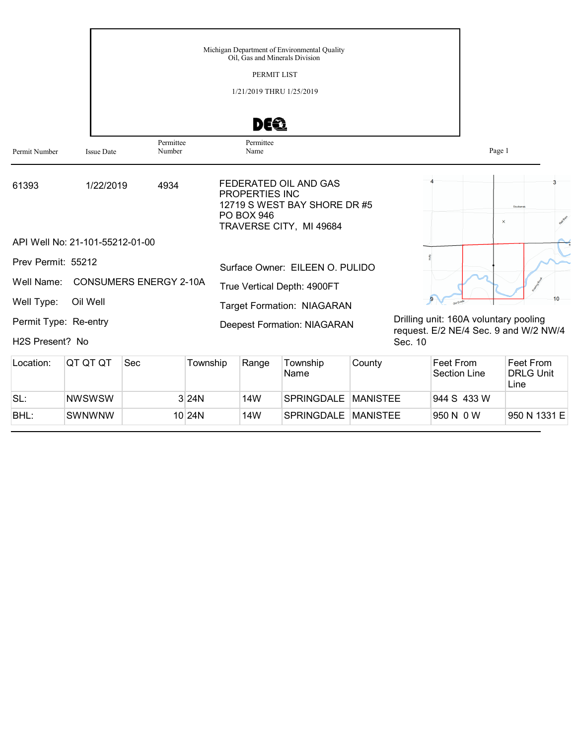|                              |                                 |           | Michigan Department of Environmental Quality<br>Oil, Gas and Minerals Division                                   |                                                  |
|------------------------------|---------------------------------|-----------|------------------------------------------------------------------------------------------------------------------|--------------------------------------------------|
|                              |                                 |           | PERMIT LIST                                                                                                      |                                                  |
|                              |                                 |           | 1/21/2019 THRU 1/25/2019                                                                                         |                                                  |
|                              |                                 |           | DEQ                                                                                                              |                                                  |
|                              |                                 | Permittee | Permittee                                                                                                        |                                                  |
| Permit Number                | <b>Issue Date</b>               | Number    | Name                                                                                                             | Page 1                                           |
| 61393                        | 1/22/2019                       | 4934      | FEDERATED OIL AND GAS<br>PROPERTIES INC<br>12719 S WEST BAY SHORE DR #5<br>PO BOX 946<br>TRAVERSE CITY, MI 49684 | <b>Dzuibanes</b><br>$\times$                     |
|                              | API Well No: 21-101-55212-01-00 |           |                                                                                                                  |                                                  |
| Prev Permit: 55212           |                                 |           | Surface Owner: EILEEN O. PULIDO                                                                                  |                                                  |
| Well Name:                   | <b>CONSUMERS ENERGY 2-10A</b>   |           | True Vertical Depth: 4900FT                                                                                      |                                                  |
| Well Type:                   | Oil Well                        |           | <b>Target Formation: NIAGARAN</b>                                                                                | 10                                               |
| Permit Type: Re-entry        |                                 |           | <b>Deepest Formation: NIAGARAN</b>                                                                               | Drilling unit: 160A voluntary pooling            |
| H <sub>2</sub> S Present? No |                                 |           |                                                                                                                  | request. E/2 NE/4 Sec. 9 and W/2 NW/4<br>Sec. 10 |

| Location: | IQT QT QT     | <b>Sec</b> | Township  | Range | Township<br>Name      | County          | Feet From<br>Section Line | Feet From<br><b>DRLG Unit</b><br>Line |
|-----------|---------------|------------|-----------|-------|-----------------------|-----------------|---------------------------|---------------------------------------|
| SL:       | <b>NWSWSW</b> |            | 3 24N     | 14W   | SPRINGDALE   MANISTEE |                 | 944 S 433 W               |                                       |
| BHL:      | <b>SWNWNW</b> |            | $10$  24N | 14W   | <b>SPRINGDALE</b>     | <b>MANISTEE</b> | 950 N 0 W                 | 950 N 1331 E                          |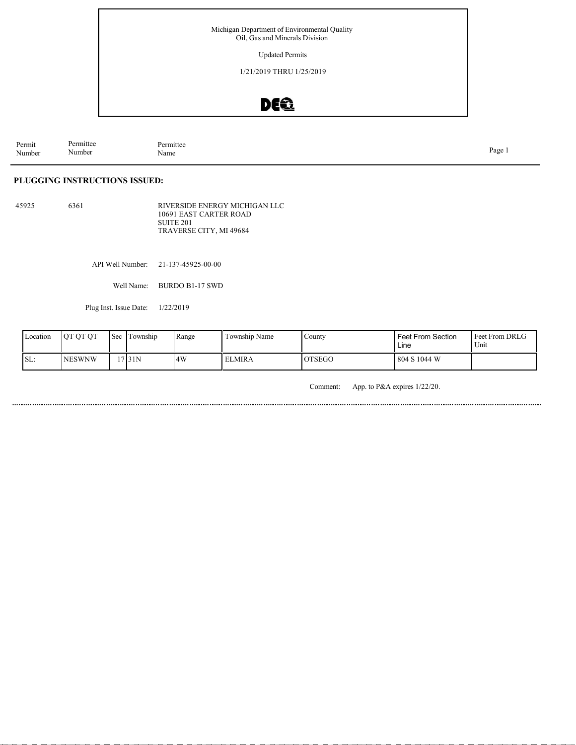Updated Permits

1/21/2019 THRU 1/25/2019

## DEQ

Permit Number Permittee Number Permittee<br>Name Name Page 1

#### **PLUGGING INSTRUCTIONS ISSUED:**

45925 6361 RIVERSIDE ENERGY MICHIGAN LLC 10691 EAST CARTER ROAD SUITE 201 TRAVERSE CITY, MI 49684

API Well Number: 21-137-45925-00-00

Well Name: BURDO B1-17 SWD

Plug Inst. Issue Date: 1/22/2019

| Location | <b>OT OT OT</b> | $\mathsf{I}$ Sec | l Township | Range | Township Name | County        | Feet From Section<br>Line | <b>Feet From DRLG</b><br>Unit |
|----------|-----------------|------------------|------------|-------|---------------|---------------|---------------------------|-------------------------------|
| SL:      | <b>NESWNW</b>   |                  | 17 I 31 N  | 4W    | ELMIRA        | <b>OTSEGO</b> | 804 S 1044 W              |                               |

Comment: App. to P&A expires 1/22/20.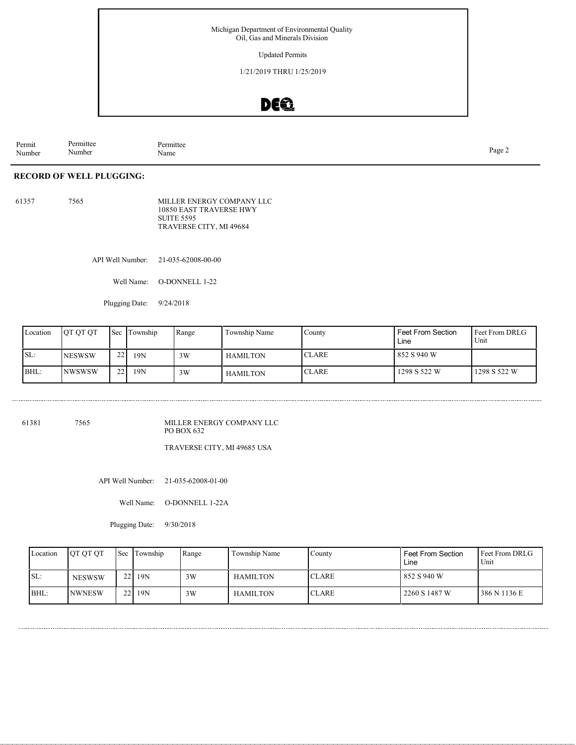Updated Permits

1/21/2019 THRU 1/25/2019

### DEQ

Permit Number Permittee Number Permittee<br>Name Name Page 2

#### **RECORD OF WELL PLUGGING:**

..............................

61357 7565 MILLER ENERGY COMPANY LLC 10850 EAST TRAVERSE HWY SUITE 5595 TRAVERSE CITY, MI 49684

API Well Number: 21-035-62008-00-00

Well Name: O-DONNELL 1-22

Plugging Date: 9/24/2018

| Location | <b>OT OT OT</b> | Sec | Township | Range | Township Name | County       | <b>Feet From Section</b><br>Line | <b>Feet From DRLG</b><br>Unit |
|----------|-----------------|-----|----------|-------|---------------|--------------|----------------------------------|-------------------------------|
| SL:      | <b>NESWSW</b>   | 22  | 19N      | 3W    | HAMILTON      | <b>CLARE</b> | 852 S 940 W                      |                               |
| BHL:     | <b>NWSWSW</b>   | 221 | 19N      | 3W    | HAMILTON      | <b>CLARE</b> | 1298 S 522 W                     | 1298 S 522 W                  |

61381 7565 MILLER ENERGY COMPANY LLC PO BOX 632

TRAVERSE CITY, MI 49685 USA

API Well Number: 21-035-62008-01-00

Well Name: O-DONNELL 1-22A

Plugging Date: 9/30/2018

| Location | <b>OT OT OT</b> | <b>Sec</b> Township | Range | Township Name   | Countv       | <b>Feet From Section</b><br>Line | l Feet From DRLG<br>Unit |
|----------|-----------------|---------------------|-------|-----------------|--------------|----------------------------------|--------------------------|
| SL:      | <b>NESWSW</b>   | 22   19N            | 3W    | HAMILTON        | <b>CLARE</b> | 852 S 940 W                      |                          |
| BHL:     | <b>NWNESW</b>   | 22   19N            | 3W    | <b>HAMILTON</b> | <b>CLARE</b> | 2260 S 1487 W                    | 386 N 1136 E             |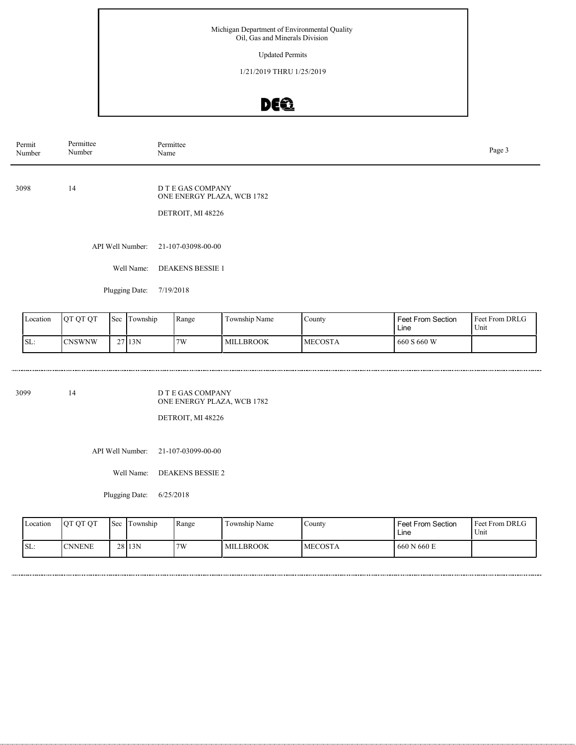Updated Permits

1/21/2019 THRU 1/25/2019

# DEQ

| Permit<br>Number | Permittee<br>Number | Permittee<br>Name                                                    | Page 3 |
|------------------|---------------------|----------------------------------------------------------------------|--------|
| 3098             | 14                  | D T E GAS COMPANY<br>ONE ENERGY PLAZA, WCB 1782<br>DETROIT, MI 48226 |        |
|                  | API Well Number:    | 21-107-03098-00-00                                                   |        |
|                  | Well Name:          | <b>DEAKENS BESSIE 1</b>                                              |        |

Plugging Date: 7/19/2018

| Location         | <b>OT OT OT</b> | 'Sec | 1 ownship | Range | Township Name    | County          | <b>Feet From Section</b><br>Line | l Feet From DRLG<br>Unit |
|------------------|-----------------|------|-----------|-------|------------------|-----------------|----------------------------------|--------------------------|
| $\mathsf{ISL}$ : | <b>CNSWNW</b>   |      | 2713N     | 7W    | <b>MILLBROOK</b> | <b>IMECOSTA</b> | 660 S 660 W                      |                          |

3099 14

......................

D T E GAS COMPANY ONE ENERGY PLAZA, WCB 1782

DETROIT, MI 48226

API Well Number: 21-107-03099-00-00

Well Name: DEAKENS BESSIE 2

Plugging Date: 6/25/2018

| Location | OT OT OT      | l Sec | Township | Range | Township Name    | County          | <b>Feet From Section</b><br>∟ine | Feet From DRLG<br>Unit |
|----------|---------------|-------|----------|-------|------------------|-----------------|----------------------------------|------------------------|
| SL:      | <b>CNNENE</b> |       | 28 13N   | 7W    | <b>MILLBROOK</b> | <b>IMECOSTA</b> | 660 N 660 E                      |                        |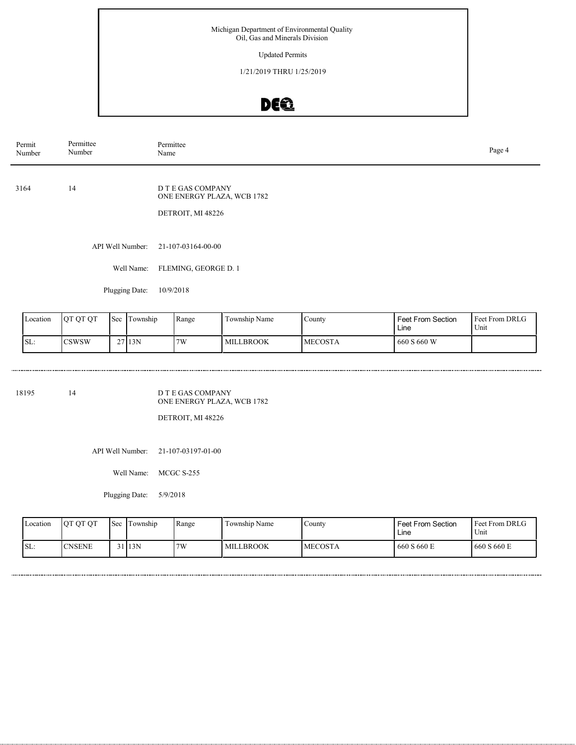Updated Permits

1/21/2019 THRU 1/25/2019

# DEQ

| Permit<br>Number | Permittee<br>Number | Permittee<br>Page 4<br>Name                                          |  |  |  |  |  |
|------------------|---------------------|----------------------------------------------------------------------|--|--|--|--|--|
| 3164             | 14                  | D T E GAS COMPANY<br>ONE ENERGY PLAZA, WCB 1782<br>DETROIT, MI 48226 |  |  |  |  |  |
|                  | API Well Number:    | 21-107-03164-00-00                                                   |  |  |  |  |  |
|                  | Well Name:          | FLEMING, GEORGE D. 1                                                 |  |  |  |  |  |

Plugging Date: 10/9/2018

| Location | <b>OT OT OT</b> | 'Sec | l ownship | Range | Township Name    | County          | <b>Feet From Section</b><br>Line | Feet From DRLG<br>Unit |
|----------|-----------------|------|-----------|-------|------------------|-----------------|----------------------------------|------------------------|
| SL:      | <b>CSWSW</b>    |      | 27113N    | 7W    | <b>MILLBROOK</b> | <b>IMECOSTA</b> | 660 S 660 W                      |                        |

18195 14

.......................

D T E GAS COMPANY ONE ENERGY PLAZA, WCB 1782

DETROIT, MI 48226

API Well Number: 21-107-03197-01-00

Well Name: MCGC S-255

Plugging Date: 5/9/2018

| Location | OT OT OT       | <b>Sec</b> | Township  | Range | Township Name    | Countv         | <b>Feet From Section</b><br>Line | Feet From DRLG<br>Unit |
|----------|----------------|------------|-----------|-------|------------------|----------------|----------------------------------|------------------------|
| SL:      | <b>ICNSENE</b> |            | $31$  13N | 7W    | <b>MILLBROOK</b> | <b>MECOSTA</b> | 660 S 660 E                      | 660 S 660 E            |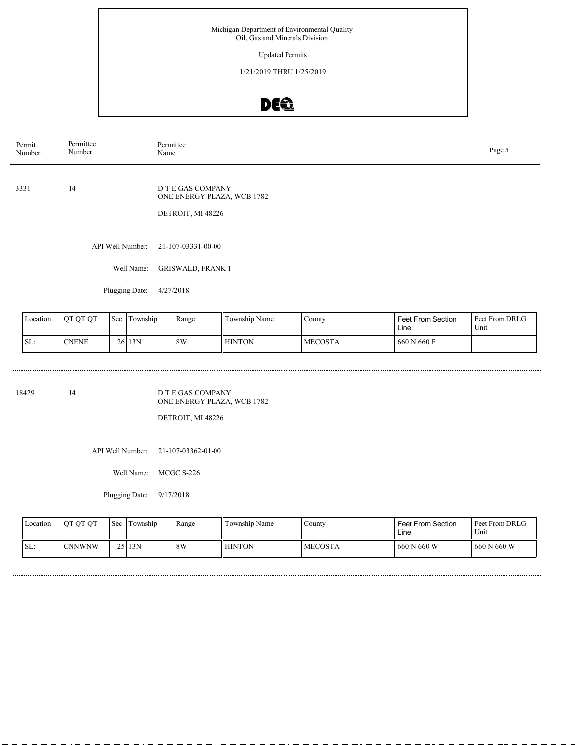Updated Permits

1/21/2019 THRU 1/25/2019

# DEQ

| Permit<br>Number | Permittee<br>Number | Permittee<br>Name                                                    | Page 5 |
|------------------|---------------------|----------------------------------------------------------------------|--------|
| 3331             | 14                  | D T E GAS COMPANY<br>ONE ENERGY PLAZA, WCB 1782<br>DETROIT, MI 48226 |        |
|                  | API Well Number:    | 21-107-03331-00-00                                                   |        |
|                  | Well Name:          | <b>GRISWALD, FRANK 1</b>                                             |        |

Plugging Date: 4/27/2018

| Location | <b>OT OT OT</b> | 'Sec | Township | Range | Township Name | County          | <b>Feet From Section</b><br>Line | <b>Feet From DRLG</b><br>Unit |
|----------|-----------------|------|----------|-------|---------------|-----------------|----------------------------------|-------------------------------|
| SL:      | <b>CNENE</b>    |      | 2613N    | 8W    | <b>HINTON</b> | <b>IMECOSTA</b> | 660 N 660 E                      |                               |

18429 14

.......................

D T E GAS COMPANY ONE ENERGY PLAZA, WCB 1782

DETROIT, MI 48226

API Well Number: 21-107-03362-01-00

Well Name: MCGC S-226

Plugging Date: 9/17/2018

| Location | OT OT OT       | <b>Sec</b> | Township | Range | Township Name | County         | <b>Feet From Section</b><br>Line | Feet From DRLG<br>'Unit |
|----------|----------------|------------|----------|-------|---------------|----------------|----------------------------------|-------------------------|
| SL:      | <b>ICNNWNW</b> |            | 2513N    | 8W    | <b>HINTON</b> | <b>MECOSTA</b> | 660 N 660 W                      | 660 N 660 W             |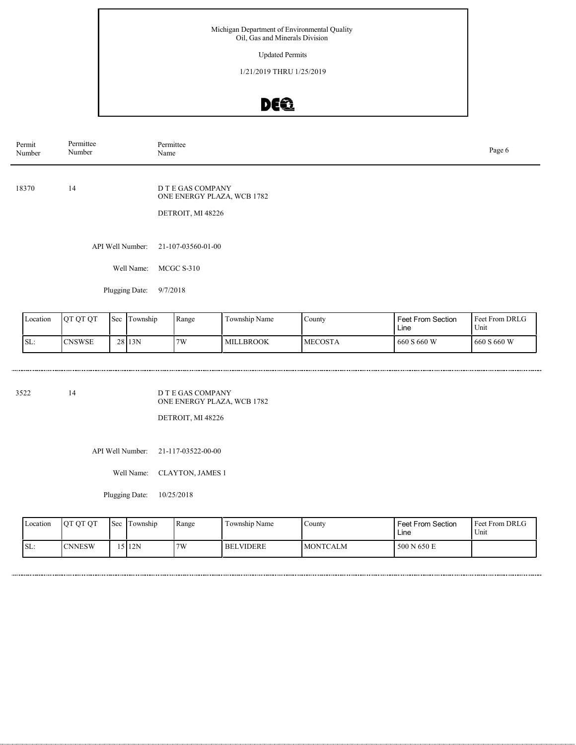Updated Permits

1/21/2019 THRU 1/25/2019

# DEQ

| Permit<br>Number | Permittee<br>Number | Permittee<br>Name                                                    | Page 6 |
|------------------|---------------------|----------------------------------------------------------------------|--------|
| 18370            | 14                  | D T E GAS COMPANY<br>ONE ENERGY PLAZA, WCB 1782<br>DETROIT, MI 48226 |        |
|                  |                     | API Well Number: 21-107-03560-01-00                                  |        |
|                  | Well Name:          | MCGC S-310                                                           |        |
|                  |                     |                                                                      |        |

Plugging Date: 9/7/2018

| Location | <b>OT OT OT</b> | 'Sec | Township | Range | Township Name    | County          | <b>Feet From Section</b><br>Line | <b>Feet From DRLG</b><br>Unit |
|----------|-----------------|------|----------|-------|------------------|-----------------|----------------------------------|-------------------------------|
| SL:      | <b>ICNSWSE</b>  |      | 28 13N   | 7W    | <b>MILLBROOK</b> | <b>IMECOSTA</b> | 660 S 660 W                      | 1660 S 660 W                  |

3522 14

D T E GAS COMPANY ONE ENERGY PLAZA, WCB 1782

DETROIT, MI 48226

API Well Number: 21-117-03522-00-00

Well Name: CLAYTON, JAMES 1

Plugging Date: 10/25/2018

| Location | OT OT OT       | l Sec | Township | Range | Township Name    | Countv          | <b>Feet From Section</b><br>∟ine | Feet From DRLG<br>Unit |
|----------|----------------|-------|----------|-------|------------------|-----------------|----------------------------------|------------------------|
| SL:      | <b>ICNNESW</b> |       | 512N     | 7W    | <b>BELVIDERE</b> | <b>MONTCALM</b> | 500 N 650 E                      |                        |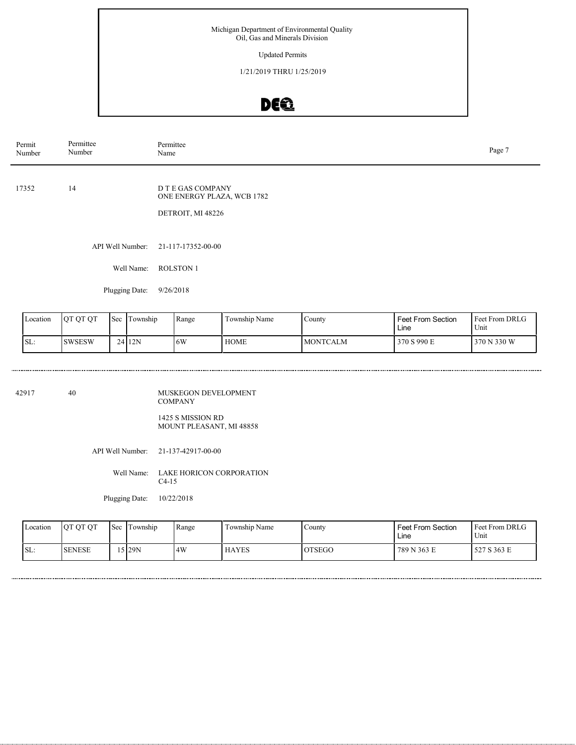#### Updated Permits

1/21/2019 THRU 1/25/2019

## DE®

| Permit<br>Number | Permittee<br>Number | Permittee<br>Name                                                    | Page 7 |
|------------------|---------------------|----------------------------------------------------------------------|--------|
| 17352            | 14                  | D T E GAS COMPANY<br>ONE ENERGY PLAZA, WCB 1782<br>DETROIT, MI 48226 |        |
|                  |                     | API Well Number: 21-117-17352-00-00                                  |        |
|                  | Well Name:          | <b>ROLSTON 1</b>                                                     |        |
|                  |                     |                                                                      |        |

Plugging Date: 9/26/2018

| Location | OT OT OT       | 'Sec | i Township | Range | $\overline{\phantom{0}}$<br>Township Name | County           | <b>Feet From Section</b><br>Line | <b>Feet From DRLG</b><br>Unit |
|----------|----------------|------|------------|-------|-------------------------------------------|------------------|----------------------------------|-------------------------------|
| SL:      | <b>ISWSESW</b> |      | 2412N      | 16W   | <b>HOME</b>                               | <b>IMONTCALM</b> | 370 S 990 E                      | 370 N 330 W                   |

42917 40

......................

MUSKEGON DEVELOPMENT COMPANY

1425 S MISSION RD MOUNT PLEASANT, MI 48858

API Well Number: 21-137-42917-00-00

Well Name: LAKE HORICON CORPORATION C4-15

Plugging Date: 10/22/2018

| Location | OT OT OT      | <b>Sec</b> | Township | Range | Township Name | County        | Feet From Section<br>Line | <b>Feet From DRLG</b><br><sup>1</sup> Unit |
|----------|---------------|------------|----------|-------|---------------|---------------|---------------------------|--------------------------------------------|
| SL:      | <b>SENESE</b> |            | 5 29N    | 4W    | <b>HAYES</b>  | <b>OTSEGO</b> | 789 N 363 E               | 527 S 363 E                                |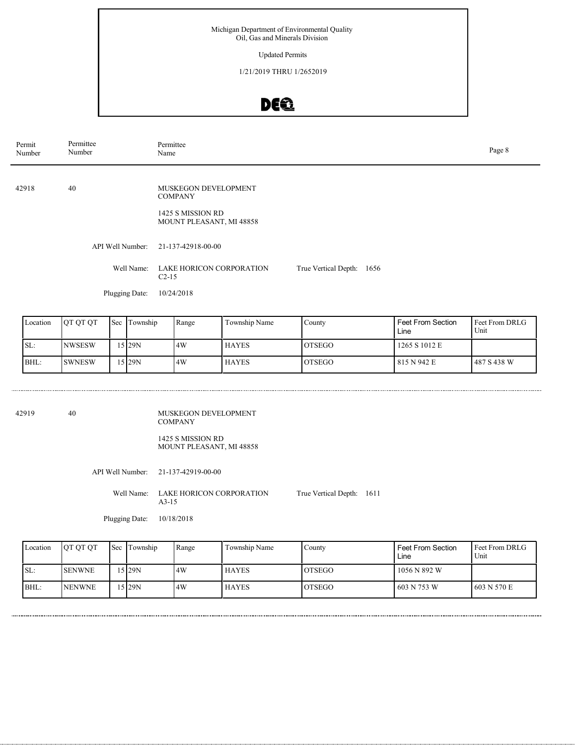Updated Permits

1/21/2019 THRU 1/2652019

# DEQ

| Permit<br>Number | Permittee<br>Number | Permittee<br>Name                             |                           |  |  |  |  |
|------------------|---------------------|-----------------------------------------------|---------------------------|--|--|--|--|
|                  |                     |                                               |                           |  |  |  |  |
| 42918            | 40                  | MUSKEGON DEVELOPMENT<br><b>COMPANY</b>        |                           |  |  |  |  |
|                  |                     | 1425 S MISSION RD<br>MOUNT PLEASANT, MI 48858 |                           |  |  |  |  |
|                  | API Well Number:    | 21-137-42918-00-00                            |                           |  |  |  |  |
|                  | Well Name:          | LAKE HORICON CORPORATION<br>$C2-15$           | True Vertical Depth: 1656 |  |  |  |  |
|                  | Plugging Date:      | 10/24/2018                                    |                           |  |  |  |  |
|                  |                     |                                               |                           |  |  |  |  |

| Location | <b>OT OT OT</b> | <b>Sec</b> | Township  | Range | Township Name | <b>County</b>  | Feet From Section<br>Line | <b>I</b> Feet From DRLG<br>Unit |
|----------|-----------------|------------|-----------|-------|---------------|----------------|---------------------------|---------------------------------|
| SL:      | <b>INWSESW</b>  |            | 15 I 29 N | 14W   | <b>HAYES</b>  | <b>OTSEGO</b>  | 1265 S 1012 E             |                                 |
| BHL:     | <b>SWNESW</b>   |            | 15 29N    | 14W   | <b>HAYES</b>  | <b>IOTSEGO</b> | 815 N 942 E               | 1487 S 438 W                    |

| 42919 | 40 | MUSKEGON DEVELOPMENT<br><b>COMPANY</b>         |                           |  |
|-------|----|------------------------------------------------|---------------------------|--|
|       |    | 1425 S MISSION RD<br>MOUNT PLEASANT, MI 48858  |                           |  |
|       |    | API Well Number: 21-137-42919-00-00            |                           |  |
|       |    | Well Name: LAKE HORICON CORPORATION<br>$A3-15$ | True Vertical Depth: 1611 |  |

Plugging Date: 10/18/2018

Feet From DRLG Unit 603 N 570 E 1056 N 892 W 603 N 753 W Feet From Section Line County OTSEGO OTSEGO Location QT QT QT Sec Township Range Township Name SL: BHL: SENWNE NENWNE Township 15 29N 15 29N 4W 4W HAYES HAYES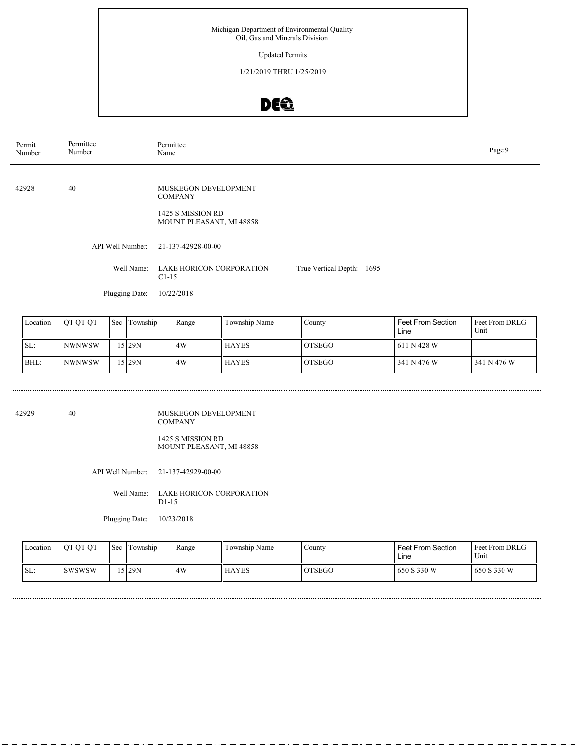Updated Permits

1/21/2019 THRU 1/25/2019

# DEQ

| Permit<br>Number | Permittee<br>Number | Permittee<br>Name                             |                              |  |  |  |  |
|------------------|---------------------|-----------------------------------------------|------------------------------|--|--|--|--|
|                  |                     |                                               |                              |  |  |  |  |
| 42928            | 40                  | MUSKEGON DEVELOPMENT<br><b>COMPANY</b>        |                              |  |  |  |  |
|                  |                     | 1425 S MISSION RD<br>MOUNT PLEASANT, MI 48858 |                              |  |  |  |  |
|                  | API Well Number:    | 21-137-42928-00-00                            |                              |  |  |  |  |
|                  | Well Name:          | LAKE HORICON CORPORATION<br>$C1-15$           | True Vertical Depth:<br>1695 |  |  |  |  |
|                  | Plugging Date:      | 10/22/2018                                    |                              |  |  |  |  |
|                  |                     |                                               |                              |  |  |  |  |

| Location | <b>OT OT OT</b> | Sec | Township  | Range | Township Name | County         | <b>Feet From Section</b><br>Line | <b>Feet From DRLG</b><br>Unit |
|----------|-----------------|-----|-----------|-------|---------------|----------------|----------------------------------|-------------------------------|
| SL:      | <b>NWNWSW</b>   |     | 15 I 29 N | 14W   | <b>HAYES</b>  | <b>LOTSEGO</b> | 1611 N 428 W                     |                               |
| BHL:     | <b>NWNWSW</b>   |     | 15 29N    | .4W   | <b>HAYES</b>  | <b>IOTSEGO</b> | 341 N 476 W                      | 1341 N 476 W                  |

| 42929 | 40 | MUSKEGON DEVELOPMENT<br><b>COMPANY</b>        |
|-------|----|-----------------------------------------------|
|       |    | 1425 S MISSION RD<br>MOUNT PLEASANT, MI 48858 |
|       |    | API Well Number: 21-137-42929-00-00           |

Well Name: LAKE HORICON CORPORATION D1-15

Plugging Date: 10/23/2018

| Location         | OT OT OT       | 'Sec | Township | Range | Township Name | County        | <b>Feet From Section</b><br>Line | <b>Feet From DRLG</b><br>Unit |
|------------------|----------------|------|----------|-------|---------------|---------------|----------------------------------|-------------------------------|
| $\mathsf{ISL}$ : | <b>ISWSWSW</b> |      | 5 29N    | 4W    | <b>HAYES</b>  | <b>OTSEGO</b> | 650 S 330 W                      | 1650 S 330 W                  |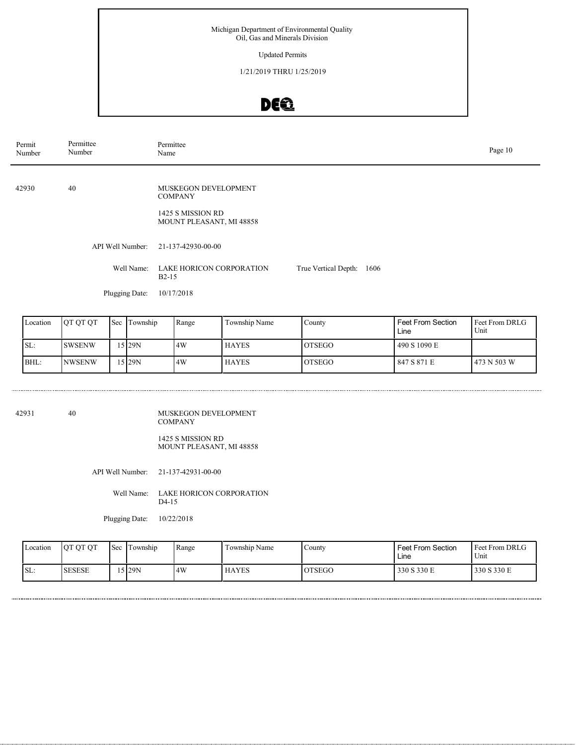Updated Permits

1/21/2019 THRU 1/25/2019

# DEQ

| Location | IOT OT OT      | <b>Sec</b> | Township  | Range | Township Name | County         | Feet From Section<br>Line | l Feet From DRLG<br>Unit |
|----------|----------------|------------|-----------|-------|---------------|----------------|---------------------------|--------------------------|
| ISL:     | <b>SWSENW</b>  |            | 15 I 29 N | 14W   | <b>HAYES</b>  | <b>OTSEGO</b>  | 490 S 1090 E              |                          |
| BHL:     | <b>INWSENW</b> |            | 15 I 29 N | 14W   | <b>HAYES</b>  | <b>IOTSEGO</b> | 847 S 871 E               | 1473 N 503 W             |

| 42931 | 40 | MUSKEGON DEVELOPMENT<br><b>COMPANY</b>               |
|-------|----|------------------------------------------------------|
|       |    | 1425 S MISSION RD<br><b>MOUNT PLEASANT, MI 48858</b> |
|       |    | API Well Number: 21-137-42931-00-00                  |

Well Name: LAKE HORICON CORPORATION D<sub>4</sub>-15

Plugging Date: 10/22/2018

| Location | OT OT OT      | 'Sec | Township | Range | Township Name | County        | <b>Feet From Section</b><br>Line | <b>Feet From DRLG</b><br>Unit |
|----------|---------------|------|----------|-------|---------------|---------------|----------------------------------|-------------------------------|
| SL:      | <b>SESESE</b> |      | 5129N    | 4W    | <b>HAYES</b>  | <b>OTSEGO</b> | 330 S 330 E                      | 330 S 330 E                   |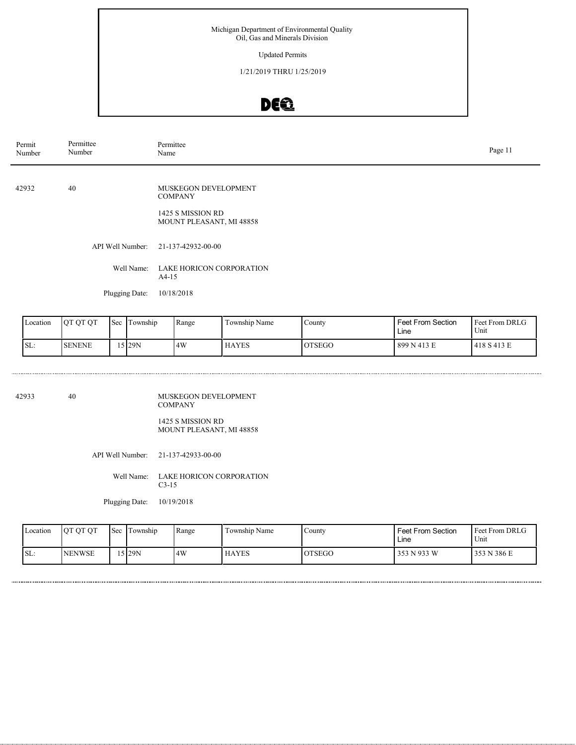Updated Permits

1/21/2019 THRU 1/25/2019

# DEQ

| Permit<br>Number | Permittee<br>Number | Permittee<br>Name                                                                       | Page 11 |
|------------------|---------------------|-----------------------------------------------------------------------------------------|---------|
| 42932            | 40                  | MUSKEGON DEVELOPMENT<br><b>COMPANY</b><br>1425 S MISSION RD<br>MOUNT PLEASANT, MI 48858 |         |
|                  | API Well Number:    | 21-137-42932-00-00                                                                      |         |
|                  | Well Name:          | LAKE HORICON CORPORATION<br>$A4-15$                                                     |         |
|                  | Plugging Date:      | 10/18/2018                                                                              |         |

| Location | OT OT OT      | 'Sec | i ownship | Range | $\sim$<br>Township Name | County        | <b>Feet From Section</b><br>Line | <b>Feet From DRLG</b><br>Unit |
|----------|---------------|------|-----------|-------|-------------------------|---------------|----------------------------------|-------------------------------|
| SL:      | <b>SENENE</b> |      | 5129N     | 4W    | <b>HAYES</b>            | <b>OTSEGO</b> | 899 N 413 E                      | 1418 S 413 E                  |

42933 40

MUSKEGON DEVELOPMENT COMPANY 1425 S MISSION RD MOUNT PLEASANT, MI 48858

API Well Number: 21-137-42933-00-00

Well Name: LAKE HORICON CORPORATION C3-15

Plugging Date: 10/19/2018

| Location | <b>OT OT OT</b> | <b>Sec</b> | Township | Range | Township Name | Countv        | Feet From Section<br>Line | <b>Feet From DRLG</b><br>Unit |
|----------|-----------------|------------|----------|-------|---------------|---------------|---------------------------|-------------------------------|
| ISL:     | <b>NENWSE</b>   |            | .5 29N   | 4W    | <b>HAYES</b>  | <b>OTSEGO</b> | 353 N 933 W               | 353 N 386 E                   |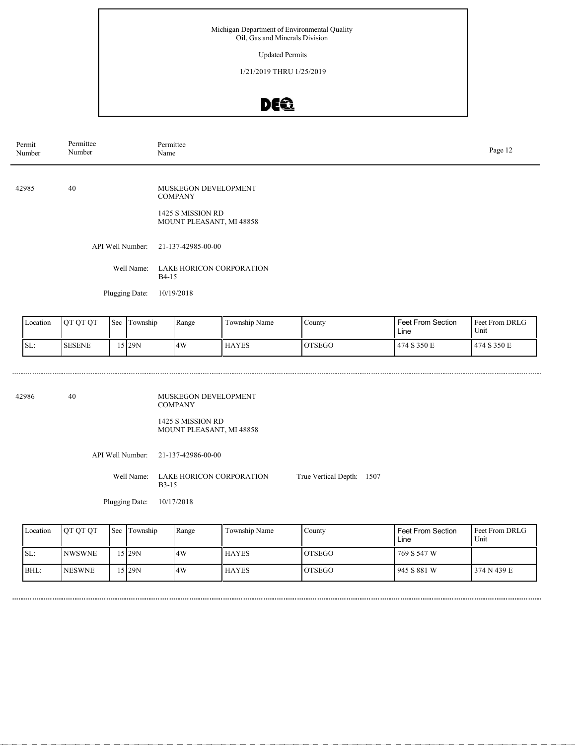Updated Permits

1/21/2019 THRU 1/25/2019

# DEQ

| Permit<br>Number | Permittee<br>Number                                                                             | Permittee<br>Name                             |               |                     |                   | Page 12                                 |
|------------------|-------------------------------------------------------------------------------------------------|-----------------------------------------------|---------------|---------------------|-------------------|-----------------------------------------|
|                  |                                                                                                 |                                               |               |                     |                   |                                         |
| 42985            | 40                                                                                              | MUSKEGON DEVELOPMENT<br><b>COMPANY</b>        |               |                     |                   |                                         |
|                  |                                                                                                 | 1425 S MISSION RD<br>MOUNT PLEASANT, MI 48858 |               |                     |                   |                                         |
|                  | API Well Number:                                                                                | 21-137-42985-00-00                            |               |                     |                   |                                         |
|                  | Well Name:                                                                                      | LAKE HORICON CORPORATION<br><b>B4-15</b>      |               |                     |                   |                                         |
|                  | Plugging Date:                                                                                  | 10/19/2018                                    |               |                     |                   |                                         |
| I contian        | $\mathcal{R}_{\alpha\alpha}$ $\mathcal{T}_{\alpha\nu\nu\alpha}$<br>$\overline{\Gamma}$ ot other | $D$ <sub>ang</sub>                            | Township Name | $C_{\text{countv}}$ | Enot From Cootion | $E_{\text{out}} E_{\text{nom}}$ DDI $C$ |

| Location | <b>OT OT OT</b> | 'Sec | l'ownship | Range | $\sim$<br>Township Name | County        | <b>Feet From Section</b><br>Line | Feet From DRLG<br>Unit |
|----------|-----------------|------|-----------|-------|-------------------------|---------------|----------------------------------|------------------------|
| SL:      | <b>SESENE</b>   |      | 15129N    | 4W    | <b>HAYES</b>            | <b>OTSEGO</b> | 474 S 350 E                      | 1474 S 350 E           |

42986 40

MUSKEGON DEVELOPMENT COMPANY 1425 S MISSION RD MOUNT PLEASANT, MI 48858

API Well Number: 21-137-42986-00-00

Well Name: LAKE HORICON CORPORATION B3-15 True Vertical Depth: 1507

Plugging Date: 10/17/2018

| Location | <b>OT OT OT</b> | Sec Township | Range | Township Name | Countv         | <b>Feet From Section</b><br>Line | l Feet From DRLG<br>Unit |
|----------|-----------------|--------------|-------|---------------|----------------|----------------------------------|--------------------------|
| SL:      | <b>NWSWNE</b>   | 5 29N        | .4W   | <b>HAYES</b>  | <b>OTSEGO</b>  | 769 S 547 W                      |                          |
| BHL:     | <b>INESWNE</b>  | 5 29N        | 4W    | <b>HAYES</b>  | <b>IOTSEGO</b> | 945 S 881 W                      | 1374 N 439 E             |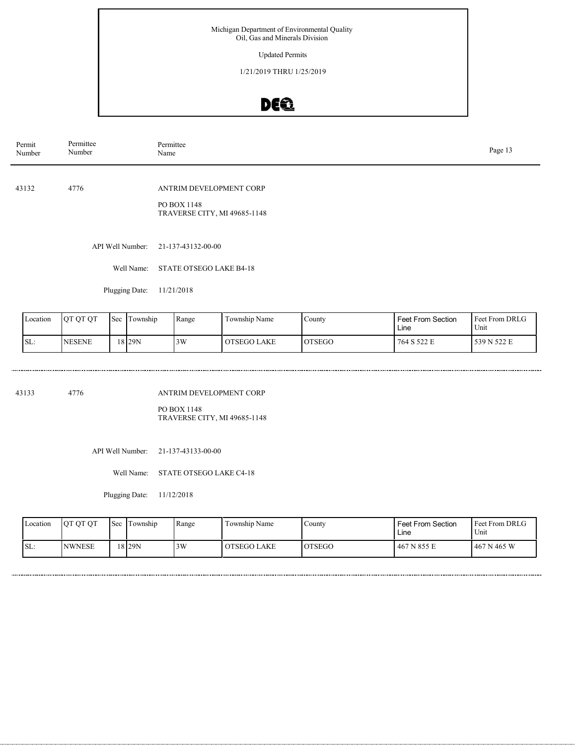Updated Permits

1/21/2019 THRU 1/25/2019

### DEQ

| Permit<br>Number | Permittee<br>Number | Permittee<br>Page 13<br>Name                                           |  |  |  |  |  |
|------------------|---------------------|------------------------------------------------------------------------|--|--|--|--|--|
| 43132            | 4776                | ANTRIM DEVELOPMENT CORP<br>PO BOX 1148<br>TRAVERSE CITY, MI 49685-1148 |  |  |  |  |  |
|                  | API Well Number:    | 21-137-43132-00-00                                                     |  |  |  |  |  |
|                  | Well Name:          | STATE OTSEGO LAKE B4-18                                                |  |  |  |  |  |
|                  | Plugging Date:      | 11/21/2018                                                             |  |  |  |  |  |

Feet From DRLG Unit 764 S 522 E 539 N 522 E Feet From Section Line County OTSEGO Location QT QT QT Sec Township Range Township Name SL: NESENE Township 18 29N 3W OTSEGO LAKE

43133 4776

ANTRIM DEVELOPMENT CORP

PO BOX 1148 TRAVERSE CITY, MI 49685-1148

API Well Number: 21-137-43133-00-00

Well Name: STATE OTSEGO LAKE C4-18

Plugging Date: 11/12/2018

| Location | OT OT OT      | <b>Sec</b> | Township | Range | Township Name | County         | <b>Feet From Section</b><br>∟ine | <b>Feet From DRLG</b><br>Unit |
|----------|---------------|------------|----------|-------|---------------|----------------|----------------------------------|-------------------------------|
| ISL:     | <b>NWNESE</b> |            | 18 29N   | 3W    | OTSEGO LAKE   | <b>LOTSEGO</b> | 467 N 855 E                      | 467 N 465 W                   |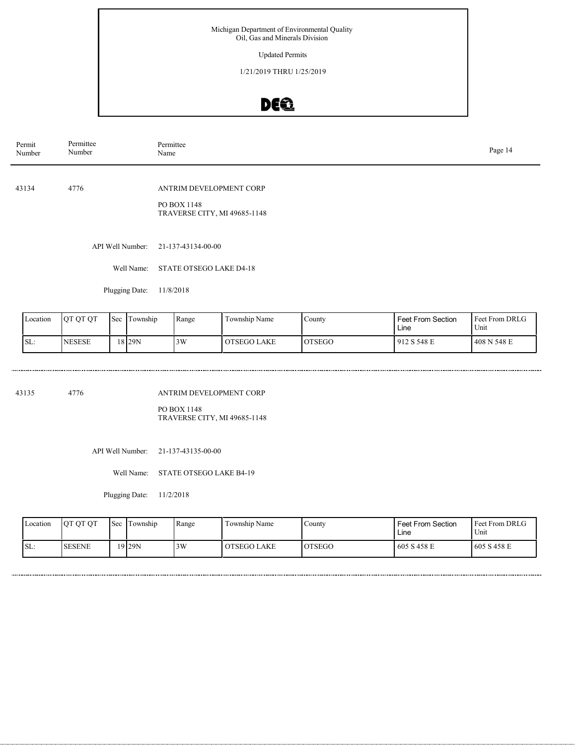Updated Permits

1/21/2019 THRU 1/25/2019

## DE®

| Permittee<br>Number | Permittee<br>Page 14<br>Name                                           |                                     |  |  |  |  |
|---------------------|------------------------------------------------------------------------|-------------------------------------|--|--|--|--|
| 4776                | ANTRIM DEVELOPMENT CORP<br>PO BOX 1148<br>TRAVERSE CITY, MI 49685-1148 |                                     |  |  |  |  |
|                     |                                                                        |                                     |  |  |  |  |
| Well Name:          | STATE OTSEGO LAKE D4-18                                                |                                     |  |  |  |  |
|                     |                                                                        | API Well Number: 21-137-43134-00-00 |  |  |  |  |

Plugging Date: 11/8/2018

............................

| Location | <b>OT OT OT</b> | 'Sec | Township | Range | Township Name      | County         | <b>Feet From Section</b><br>Line | <b>Feet From DRLG</b><br>Unit |
|----------|-----------------|------|----------|-------|--------------------|----------------|----------------------------------|-------------------------------|
| SL:      | <b>INESESE</b>  |      | 18 29 N  | 3W    | <b>OTSEGO LAKE</b> | <b>IOTSEGO</b> | 912 S 548 E                      | 1408 N 548 E                  |

43135 4776

..............................

ANTRIM DEVELOPMENT CORP

PO BOX 1148 TRAVERSE CITY, MI 49685-1148

API Well Number: 21-137-43135-00-00

Well Name: STATE OTSEGO LAKE B4-19

Plugging Date: 11/2/2018

| Location | OT OT OT      | <b>Sec</b> | Township  | Range | Township Name | Countv         | <b>Feet From Section</b><br>∟ine | Feet From DRLG<br>Unit |
|----------|---------------|------------|-----------|-------|---------------|----------------|----------------------------------|------------------------|
| ISL:     | <b>SESENE</b> |            | $19$  29N | 3W    | OTSEGO LAKE   | <b>LOTSEGO</b> | 605 S 458 E                      | 1605 S 458 E           |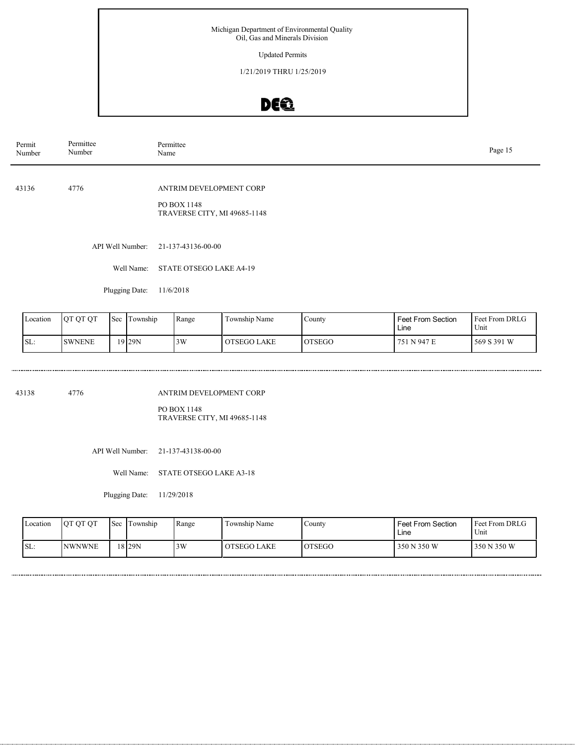Updated Permits

1/21/2019 THRU 1/25/2019

## DEQ

| Permit<br>Number | Permittee<br>Number | Permittee<br>Page 15<br>Name                                           |  |  |  |  |  |
|------------------|---------------------|------------------------------------------------------------------------|--|--|--|--|--|
| 43136            | 4776                | ANTRIM DEVELOPMENT CORP<br>PO BOX 1148<br>TRAVERSE CITY, MI 49685-1148 |  |  |  |  |  |
|                  | API Well Number:    | 21-137-43136-00-00                                                     |  |  |  |  |  |
|                  | Well Name:          | STATE OTSEGO LAKE A4-19                                                |  |  |  |  |  |
|                  | Plugging Date:      | 11/6/2018                                                              |  |  |  |  |  |

Feet From DRLG Unit 751 N 947 E 569 S 391 W Feet From Section Line County OTSEGO Location QT QT QT Sec Township Range Township Name SL: SWNENE Township 19 29N 3W OTSEGO LAKE

43138 4776

ANTRIM DEVELOPMENT CORP

PO BOX 1148 TRAVERSE CITY, MI 49685-1148

API Well Number: 21-137-43138-00-00

Well Name: STATE OTSEGO LAKE A3-18

Plugging Date: 11/29/2018

| Location         | OT OT OT       | Sec | Township          | Range | Township Name | Countv  | <b>Feet From Section</b><br>∟ine | Feet From DRLG<br>Unit |
|------------------|----------------|-----|-------------------|-------|---------------|---------|----------------------------------|------------------------|
| $\mathsf{ISL}$ : | <b>INWNWNE</b> |     | 18 <sub>29N</sub> | 3W    | OTSEGO LAKE   | IOTSEGO | 350 N 350 W                      | 350 N 350 W            |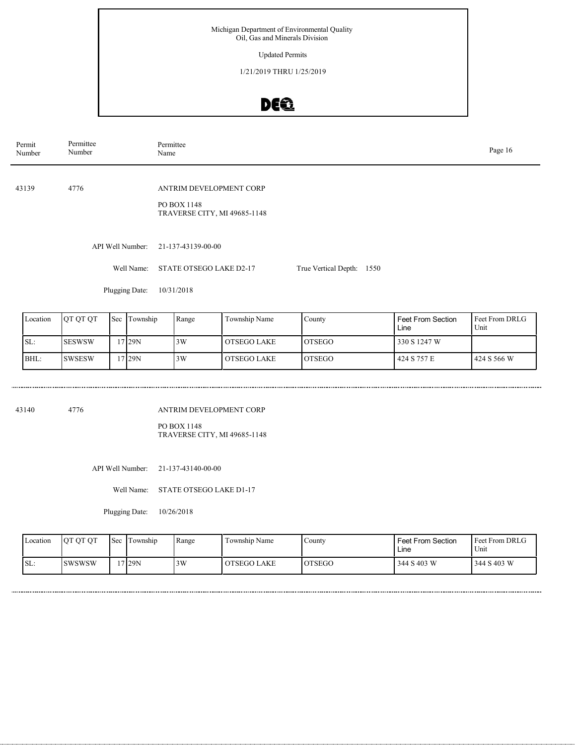Updated Permits

1/21/2019 THRU 1/25/2019

# DEQ

| Permit<br>Number | Permittee<br>Number | Permittee<br>Name                                                      |                           |  |  |  |  |  |
|------------------|---------------------|------------------------------------------------------------------------|---------------------------|--|--|--|--|--|
| 43139            | 4776                | ANTRIM DEVELOPMENT CORP<br>PO BOX 1148<br>TRAVERSE CITY, MI 49685-1148 |                           |  |  |  |  |  |
|                  | API Well Number:    | 21-137-43139-00-00                                                     |                           |  |  |  |  |  |
|                  | Well Name:          | STATE OTSEGO LAKE D2-17                                                | True Vertical Depth: 1550 |  |  |  |  |  |
|                  | Plugging Date:      | 10/31/2018                                                             |                           |  |  |  |  |  |
|                  |                     |                                                                        |                           |  |  |  |  |  |

| Location | OT OT OT      | Sec | Township | Range | Township Name | County         | <b>Feet From Section</b><br>Line | <b>I</b> Feet From DRLG<br>Unit |
|----------|---------------|-----|----------|-------|---------------|----------------|----------------------------------|---------------------------------|
| SL:      | <b>SESWSW</b> |     | 7 29N    | 3W    | OTSEGO LAKE   | <b>LOTSEGO</b> | 330 S 1247 W                     |                                 |
| BHL:     | <b>SWSESW</b> |     | 7129N    | 3W    | OTSEGO LAKE   | <b>LOTSEGO</b> | 424 S 757 E                      | l 424 S 566 W                   |

43140 4776

ANTRIM DEVELOPMENT CORP

PO BOX 1148 TRAVERSE CITY, MI 49685-1148

API Well Number: 21-137-43140-00-00

Well Name: STATE OTSEGO LAKE D1-17

Plugging Date: 10/26/2018

| Location | OT OT OT       | l Sec | Township | Range | Township Name | Countv        | <b>Feet From Section</b><br>Line | <b>Feet From DRLG</b><br>Unit |
|----------|----------------|-------|----------|-------|---------------|---------------|----------------------------------|-------------------------------|
| SL:      | <b>ISWSWSW</b> |       | *7 29N   | 3W    | OTSEGO LAKE   | <b>OTSEGO</b> | 344 S 403 W                      | 344 S 403 W                   |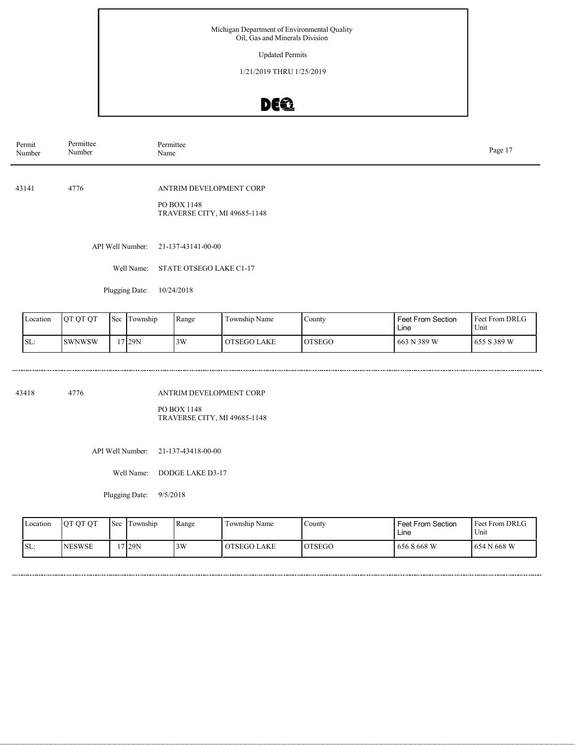Updated Permits

1/21/2019 THRU 1/25/2019

## DE®

| Permit<br>Number | Permittee<br>Number | Permittee<br>Name                                                      | Page 17 |
|------------------|---------------------|------------------------------------------------------------------------|---------|
| 43141            | 4776                | ANTRIM DEVELOPMENT CORP<br>PO BOX 1148<br>TRAVERSE CITY, MI 49685-1148 |         |
|                  | API Well Number:    | 21-137-43141-00-00                                                     |         |
|                  | Well Name:          | STATE OTSEGO LAKE C1-17                                                |         |
|                  | Plugging Date:      | 10/24/2018                                                             |         |

| Location | <b>JOT OT OT</b> | <b>Sec</b> | Township | Range | Township Name | County        | <b>Feet From Section</b><br>Line | <b>Feet From DRLG</b><br>Unit |
|----------|------------------|------------|----------|-------|---------------|---------------|----------------------------------|-------------------------------|
| SL:      | <b>ISWNWSW</b>   |            | 7 29 N   | 3W    | OTSEGO LAKE   | <b>OTSEGO</b> | 663 N 389 W                      | 655 S 389 W                   |

43418 4776

..............................

ANTRIM DEVELOPMENT CORP

PO BOX 1148 TRAVERSE CITY, MI 49685-1148

API Well Number: 21-137-43418-00-00

Well Name: DODGE LAKE D3-17

Plugging Date: 9/5/2018

| Location | OT OT OT       | <b>Sec</b> | Township | Range | Township Name | Countv  | <b>Feet From Section</b><br>Line | l Feet From DRLG<br>Unit |
|----------|----------------|------------|----------|-------|---------------|---------|----------------------------------|--------------------------|
| ISL:     | <b>INESWSE</b> |            | 17 29N   | 3W    | OTSEGO LAKE   | IOTSEGO | 656 S 668 W                      | 654 N 668 W              |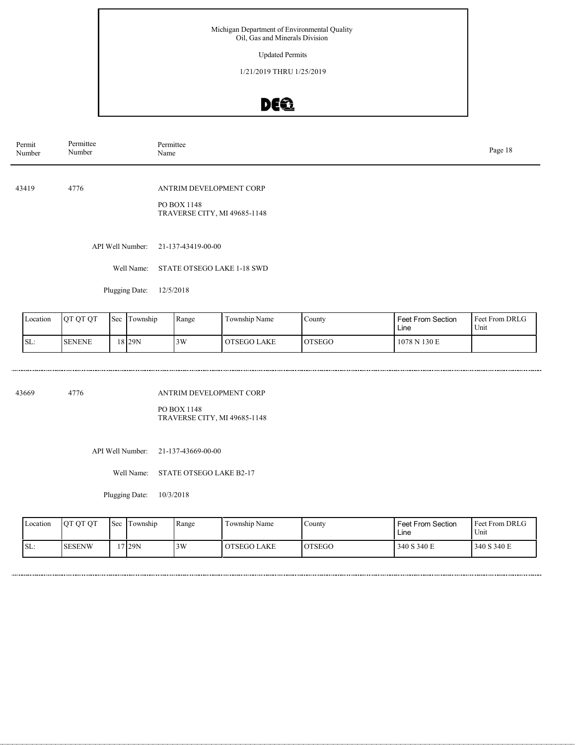Updated Permits

1/21/2019 THRU 1/25/2019

## DE®

| Permit<br>Number | Permittee<br>Number | Permittee<br>Name                                                      | Page 18 |
|------------------|---------------------|------------------------------------------------------------------------|---------|
| 43419            | 4776                | ANTRIM DEVELOPMENT CORP<br>PO BOX 1148<br>TRAVERSE CITY, MI 49685-1148 |         |
|                  | API Well Number:    | 21-137-43419-00-00                                                     |         |
|                  | Well Name:          | STATE OTSEGO LAKE 1-18 SWD                                             |         |
|                  | Plugging Date:      | 12/5/2018                                                              |         |

| Location | OT OT OT      | 'Sec | l Township | Range | Township Name      | County        | <b>Feet From Section</b><br>Line | <b>Feet From DRLG</b><br>Unit |
|----------|---------------|------|------------|-------|--------------------|---------------|----------------------------------|-------------------------------|
| SL:      | <b>SENENE</b> |      | 18 I 29 N  | 3W    | <b>OTSEGO LAKE</b> | <b>OTSEGO</b> | 1078 N 130 E                     |                               |

43669 4776

..............................

ANTRIM DEVELOPMENT CORP

PO BOX 1148 TRAVERSE CITY, MI 49685-1148

API Well Number: 21-137-43669-00-00

Well Name: STATE OTSEGO LAKE B2-17

Plugging Date: 10/3/2018

| Location | OT OT OT      | <b>Sec</b> | Township | Range | Township Name | Countv  | <b>Feet From Section</b><br>Line | l Feet From DRLG<br>Unit |
|----------|---------------|------------|----------|-------|---------------|---------|----------------------------------|--------------------------|
| ISL:     | <b>SESENW</b> |            | 17 29N   | 3W    | OTSEGO LAKE   | IOTSEGO | 340 S 340 E                      | 340 S 340 E              |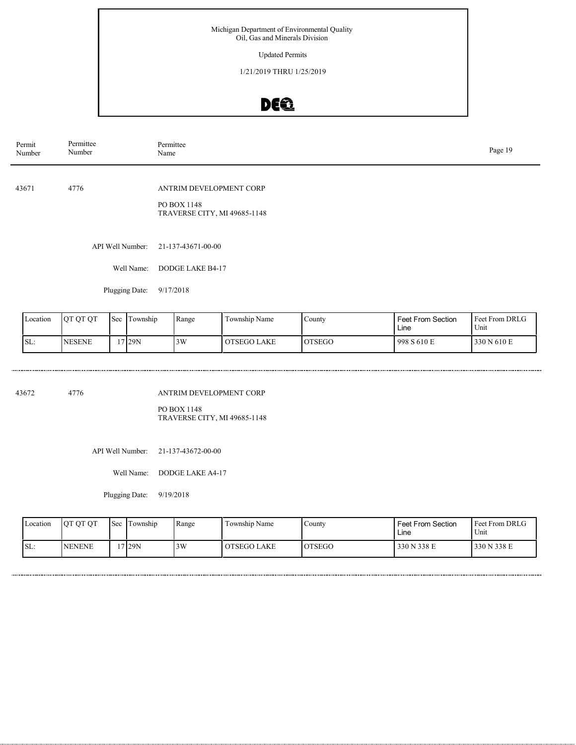Updated Permits

1/21/2019 THRU 1/25/2019

# DEQ

| Permit<br>Number | Permittee<br>Number | Permittee<br>Name                                                      | Page 19 |
|------------------|---------------------|------------------------------------------------------------------------|---------|
| 43671            | 4776                | ANTRIM DEVELOPMENT CORP<br>PO BOX 1148<br>TRAVERSE CITY, MI 49685-1148 |         |
|                  | API Well Number:    | 21-137-43671-00-00                                                     |         |
|                  | Well Name:          | DODGE LAKE B4-17                                                       |         |
|                  | Plugging Date:      | 9/17/2018                                                              |         |

| Location | <b>OT OT OT</b> | Sec. | Township | Range | m.<br>Township Name | County        | <b>Feet From Section</b><br>Line | <b>Feet From DRLG</b><br>Unit |
|----------|-----------------|------|----------|-------|---------------------|---------------|----------------------------------|-------------------------------|
| SL:      | <b>INESENE</b>  |      | 17 29N   | 3W    | OTSEGO LAKE         | <b>OTSEGO</b> | 998S610E                         | 330 N 610 E                   |

43672 4776

.....................................

ANTRIM DEVELOPMENT CORP

PO BOX 1148 TRAVERSE CITY, MI 49685-1148

API Well Number: 21-137-43672-00-00

Well Name: DODGE LAKE A4-17

Plugging Date: 9/19/2018

| Location | OT OT OT      | l Sec | Township | Range | Township Name | County  | <b>Feet From Section</b><br>Line | <b>Feet From DRLG</b><br>Unit |
|----------|---------------|-------|----------|-------|---------------|---------|----------------------------------|-------------------------------|
| SL:      | <b>NENENE</b> |       | *7129N   | 3W    | OTSEGO LAKE   | IOTSEGO | 330 N 338 E                      | 330 N 338 E                   |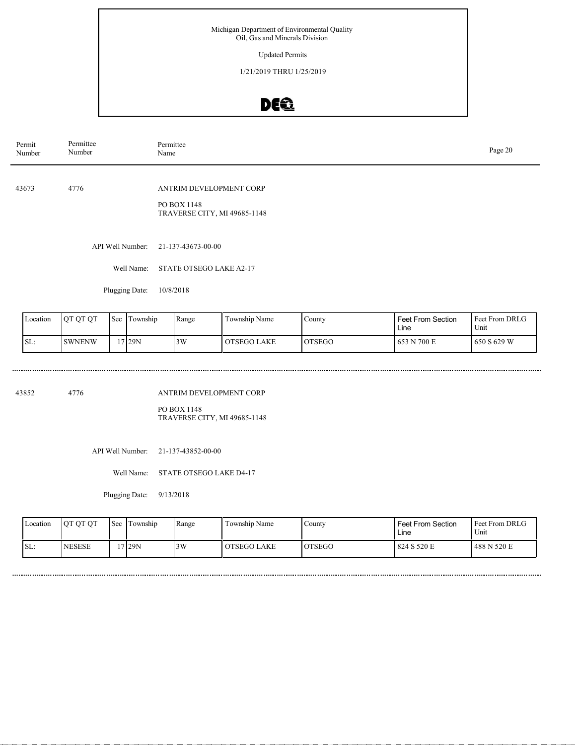Updated Permits

1/21/2019 THRU 1/25/2019

## DE®

| Permit<br>Number | Permittee<br>Number | Permittee<br>Name                                                      | Page 20 |
|------------------|---------------------|------------------------------------------------------------------------|---------|
| 43673            | 4776                | ANTRIM DEVELOPMENT CORP<br>PO BOX 1148<br>TRAVERSE CITY, MI 49685-1148 |         |
|                  | API Well Number:    | 21-137-43673-00-00                                                     |         |
|                  | Well Name:          | STATE OTSEGO LAKE A2-17                                                |         |
|                  | Plugging Date:      | 10/8/2018                                                              |         |

| Location | <b>OT OT OT</b> | 'Sec | Township | Range | Township Name | Countv        | <b>Feet From Section</b><br>Line | <b>Feet From DRLG</b><br>Unit |
|----------|-----------------|------|----------|-------|---------------|---------------|----------------------------------|-------------------------------|
| SL:      | <b>SWNENW</b>   |      | 7 29N    | 3W    | OTSEGO LAKE   | <b>OTSEGO</b> | 653 N 700 E                      | l 650 S 629 W                 |

43852 4776

.....................................

ANTRIM DEVELOPMENT CORP

PO BOX 1148 TRAVERSE CITY, MI 49685-1148

API Well Number: 21-137-43852-00-00

Well Name: STATE OTSEGO LAKE D4-17

Plugging Date: 9/13/2018

| Location | OT OT OT      | l Sec | Township | Range | Township Name | Countv  | <b>Feet From Section</b><br>∟ine | Feet From DRLG<br>Unit |
|----------|---------------|-------|----------|-------|---------------|---------|----------------------------------|------------------------|
| SL:      | <b>NESESE</b> |       | 129N     | 3W    | OTSEGO LAKE   | IOTSEGO | 824 S 520 E                      | 488 N 520 E            |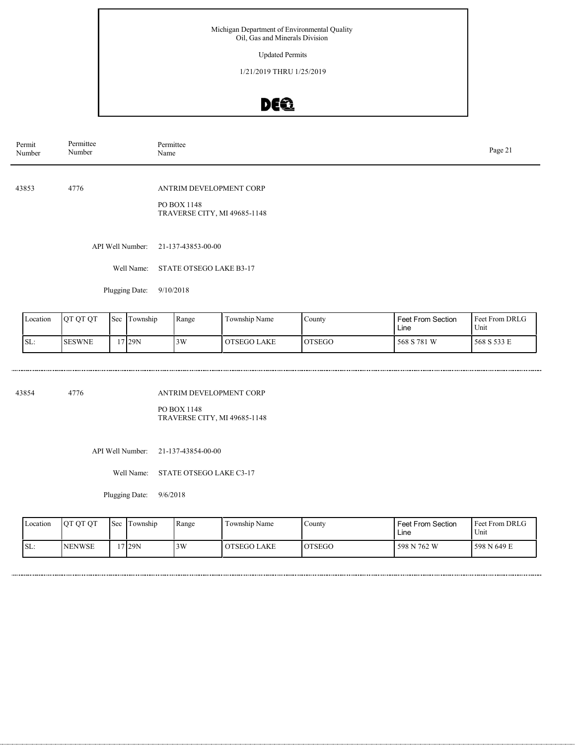Updated Permits

1/21/2019 THRU 1/25/2019

## DE®

| Permit<br>Number | Permittee<br>Number | Permittee<br>Name                                                      | Page 21 |
|------------------|---------------------|------------------------------------------------------------------------|---------|
| 43853            | 4776                | ANTRIM DEVELOPMENT CORP<br>PO BOX 1148<br>TRAVERSE CITY, MI 49685-1148 |         |
|                  | API Well Number:    | 21-137-43853-00-00                                                     |         |
|                  | Well Name:          | STATE OTSEGO LAKE B3-17                                                |         |
|                  | Plugging Date:      | 9/10/2018                                                              |         |

| Location | <b>OT OT OT</b> | <b>Sec</b> | Township | Range | Township Name | County        | Feet From Section<br>Line | Feet From DRLG<br>Unit |
|----------|-----------------|------------|----------|-------|---------------|---------------|---------------------------|------------------------|
| ISL:     | <b>ISESWNE</b>  |            | 7129N    | 3W    | OTSEGO LAKE   | <b>OTSEGO</b> | 568 S 781 W               | 1568 S 533 E           |

43854 4776

..............................

ANTRIM DEVELOPMENT CORP

PO BOX 1148 TRAVERSE CITY, MI 49685-1148

API Well Number: 21-137-43854-00-00

Well Name: STATE OTSEGO LAKE C3-17

Plugging Date: 9/6/2018

| Location | OT OT OT       | <b>Sec</b> | Township | 'Range | Township Name | County         | <b>Feet From Section</b><br>Line | <b>Feet From DRLG</b><br>Unit |
|----------|----------------|------------|----------|--------|---------------|----------------|----------------------------------|-------------------------------|
| ISL:     | <b>INENWSE</b> |            | 7129N    | 3W     | OTSEGO LAKE   | <b>IOTSEGO</b> | 598 N 762 W                      | 598 N 649 E                   |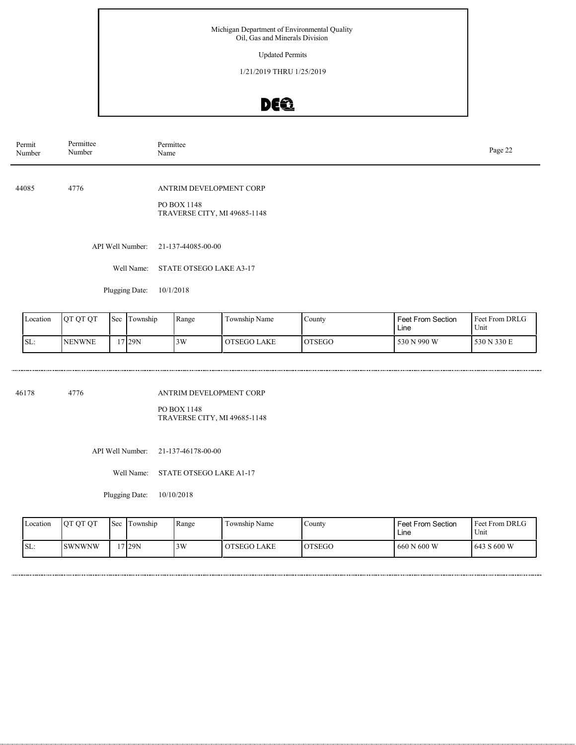Updated Permits

1/21/2019 THRU 1/25/2019

# DEQ

| Permit<br>Number | Permittee<br>Number | Permittee<br>Name                                                      | Page 22 |
|------------------|---------------------|------------------------------------------------------------------------|---------|
| 44085            | 4776                | ANTRIM DEVELOPMENT CORP<br>PO BOX 1148<br>TRAVERSE CITY, MI 49685-1148 |         |
|                  | API Well Number:    | 21-137-44085-00-00                                                     |         |
|                  | Well Name:          | STATE OTSEGO LAKE A3-17                                                |         |
|                  | Plugging Date:      | 10/1/2018                                                              |         |

| Location | <b>OT OT OT</b> | 'Sec | Township | Range | Township Name      | County        | <b>Feet From Section</b><br>Line | <b>Feet From DRLG</b><br>Unit |
|----------|-----------------|------|----------|-------|--------------------|---------------|----------------------------------|-------------------------------|
| SL:      | <b>INENWNE</b>  |      | 17 29 N  | 3W    | <b>OTSEGO LAKE</b> | <b>OTSEGO</b> | 530 N 990 W                      | 530 N 330 E                   |

46178 4776

................................

ANTRIM DEVELOPMENT CORP PO BOX 1148

TRAVERSE CITY, MI 49685-1148

API Well Number: 21-137-46178-00-00

Well Name: STATE OTSEGO LAKE A1-17

Plugging Date: 10/10/2018

| Location | OT OT OT      | <b>Sec</b> | Township | 'Range | Township Name | County         | <b>Feet From Section</b><br>Line | <b>Feet From DRLG</b><br>Unit |
|----------|---------------|------------|----------|--------|---------------|----------------|----------------------------------|-------------------------------|
| ISL:     | <b>SWNWNW</b> |            | '7 29N   | 3W     | OTSEGO LAKE   | <b>IOTSEGO</b> | 660 N 600 W                      | 1643 S 600 W                  |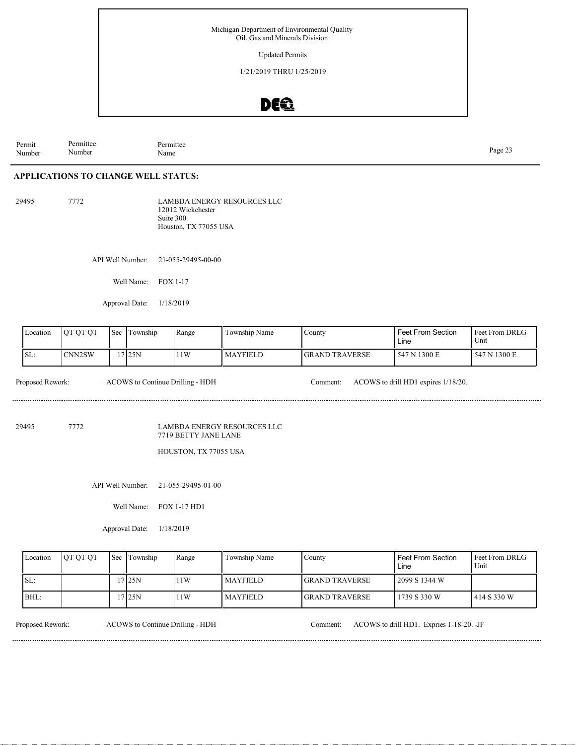Updated Permits

1/21/2019 THRU 1/25/2019

### DE®

Permit Number Permittee Number Permittee<br>Name Page 23<br>Name Page 23

#### **APPLICATIONS TO CHANGE WELL STATUS:**

29495 7772

LAMBDA ENERGY RESOURCES LLC 12012 Wickchester Suite 300 Houston, TX 77055 USA

API Well Number: 21-055-29495-00-00

Well Name: FOX 1-17

Approval Date: 1/18/2019

| Location | IOT OT OT           | <b>Sec</b> | Township | Range | Township Name   | $\mathcal{L}$ ounty    | Feet From Section<br>Line | l Feet From DRLG<br>Unit |
|----------|---------------------|------------|----------|-------|-----------------|------------------------|---------------------------|--------------------------|
| SL:      | CNN <sub>2</sub> SW |            | 17125N   | 11W   | <b>MAYFIELD</b> | <b>IGRAND TRAVERSE</b> | 547 N 1300 E              | 547 N 1300 E             |

Proposed Rework: ACOWS to Continue Drilling - HDH Comment: ACOWS to drill HD1 expires 1/18/20.

29495 7772

LAMBDA ENERGY RESOURCES LLC 7719 BETTY JANE LANE

HOUSTON, TX 77055 USA

API Well Number: 21-055-29495-01-00

Well Name: FOX 1-17 HD1

Approval Date: 1/18/2019

| Location | <b>OT OT OT</b> | 'Sec | Township | Range | Township Name   | <b>County</b>          | <b>Feet From Section</b><br>Line | <b>Feet From DRLG</b><br>Unit |
|----------|-----------------|------|----------|-------|-----------------|------------------------|----------------------------------|-------------------------------|
| SL:      |                 |      | 7125N    | 11W   | <b>MAYFIELD</b> | <b>IGRAND TRAVERSE</b> | 2099 S 1344 W                    |                               |
| BHL:     |                 |      | 7125N    | 11W   | <b>MAYFIELD</b> | <b>IGRAND TRAVERSE</b> | 1739 S 330 W                     | 1414 S 330 W                  |

Proposed Rework: ACOWS to Continue Drilling - HDH Comment: ACOWS to drill HD1. Expries 1-18-20. -JF